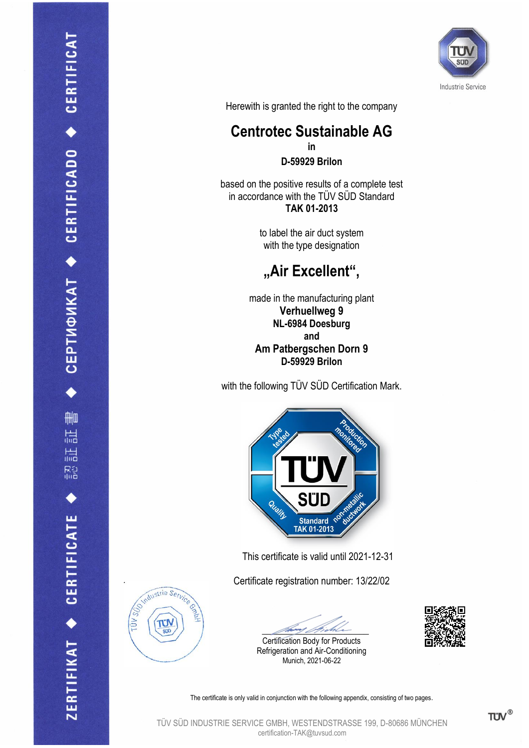

Herewith is granted the right to the company

## **Centrotec Sustainable AG in**

**D-59929 Brilon**

based on the positive results of a complete test in accordance with the TÜV SÜD Standard **TAK 01-2013**

> to label the air duct system with the type designation

## **"Air Excellent",**

made in the manufacturing plant **Verhuellweg 9 NL-6984 Doesburg and Am Patbergschen Dorn 9 D-59929 Brilon**

with the following TÜV SÜD Certification Mark.



This certificate is valid until 2021-12-31

Certificate registration number: 13/22/02



Certification Body for Products Refrigeration and Air-Conditioning Munich, 2021-06-22





The certificate is only valid in conjunction with the following appendix, consisting of two pages.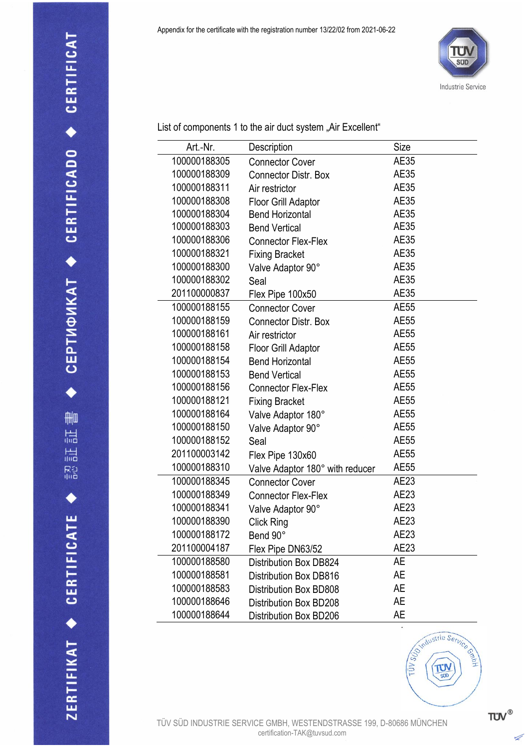

List of components 1 to the air duct system "Air Excellent"

| Art.-Nr.     | Description                     | Size        |
|--------------|---------------------------------|-------------|
| 100000188305 | <b>Connector Cover</b>          | AE35        |
| 100000188309 | <b>Connector Distr. Box</b>     | AE35        |
| 100000188311 | Air restrictor                  | <b>AE35</b> |
| 100000188308 | Floor Grill Adaptor             | AE35        |
| 100000188304 | <b>Bend Horizontal</b>          | AE35        |
| 100000188303 | <b>Bend Vertical</b>            | AE35        |
| 100000188306 | <b>Connector Flex-Flex</b>      | AE35        |
| 100000188321 | <b>Fixing Bracket</b>           | AE35        |
| 100000188300 | Valve Adaptor 90°               | AE35        |
| 100000188302 | Seal                            | AE35        |
| 201100000837 | Flex Pipe 100x50                | AE35        |
| 100000188155 | <b>Connector Cover</b>          | AE55        |
| 100000188159 | <b>Connector Distr. Box</b>     | AE55        |
| 100000188161 | Air restrictor                  | AE55        |
| 100000188158 | Floor Grill Adaptor             | AE55        |
| 100000188154 | <b>Bend Horizontal</b>          | <b>AE55</b> |
| 100000188153 | <b>Bend Vertical</b>            | AE55        |
| 100000188156 | <b>Connector Flex-Flex</b>      | AE55        |
| 100000188121 | <b>Fixing Bracket</b>           | AE55        |
| 100000188164 | Valve Adaptor 180°              | AE55        |
| 100000188150 | Valve Adaptor 90°               | AE55        |
| 100000188152 | Seal                            | AE55        |
| 201100003142 | Flex Pipe 130x60                | AE55        |
| 100000188310 | Valve Adaptor 180° with reducer | AE55        |
| 100000188345 | <b>Connector Cover</b>          | AE23        |
| 100000188349 | <b>Connector Flex-Flex</b>      | AE23        |
| 100000188341 | Valve Adaptor 90°               | AE23        |
| 100000188390 | Click Ring                      | AE23        |
| 100000188172 | Bend 90°                        | AE23        |
| 201100004187 | Flex Pipe DN63/52               | AE23        |
| 100000188580 | <b>Distribution Box DB824</b>   | AE          |
| 100000188581 | <b>Distribution Box DB816</b>   | AE          |
| 100000188583 | Distribution Box BD808          | AE          |
| 100000188646 | Distribution Box BD208          | AE          |
| 100000188644 | Distribution Box BD206          | AE          |



TÜV SÜD INDUSTRIE SERVICE GMBH, WESTENDSTRASSE 199, D-80686 MÜNCHEN certification-TAK@tuvsud.com

 $TUV$ <sup>®</sup>

Á